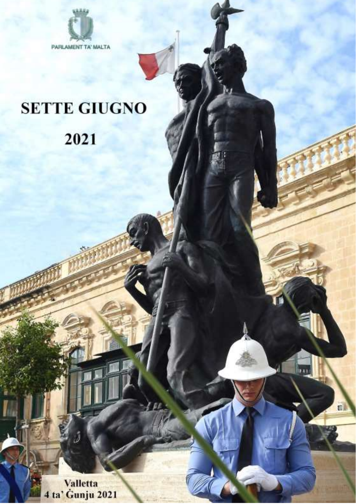

## **SETTE GIUGNO**

## 2021

Valletta<br>4 ta' Gunju 2021

ët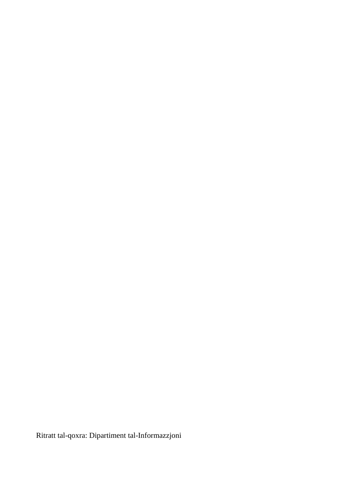Ritratt tal-qoxra: Dipartiment tal-Informazzjoni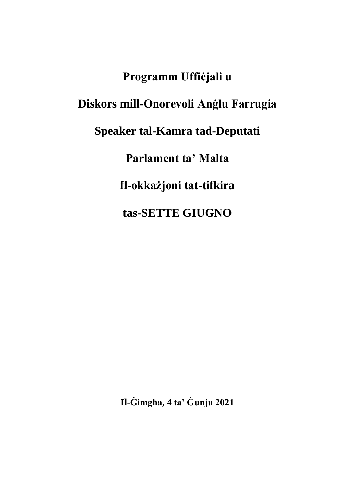## Programm Uffičjali u Diskors mill-Onorevoli Anglu Farrugia Speaker tal-Kamra tad-Deputati Parlament ta' Malta fl-okkażjoni tat-tifkira tas-SETTE GIUGNO

Il-Gimgha, 4 ta' Gunju 2021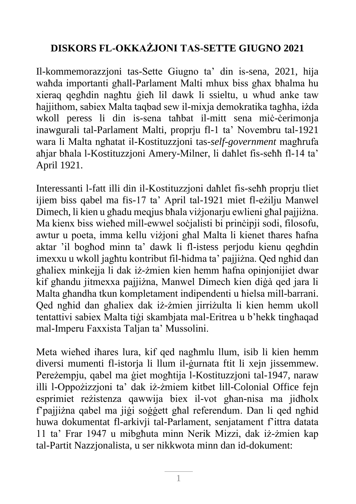## **DISKORS FL-OKKAŻJONI TAS-SETTE GIUGNO 2021**

Il-kommemorazzjoni tas-Sette Giugno ta' din is-sena, 2021, hija waħda importanti għall-Parlament Malti mhux biss għax bħalma hu xieraq qegħdin nagħtu ġieħ lil dawk li ssieltu, u wħud anke taw ħajjithom, sabiex Malta taqbad sew il-mixja demokratika tagħha, iżda wkoll peress li din is-sena taħbat il-mitt sena miċ-ċerimonja inawgurali tal-Parlament Malti, proprju fl-1 ta' Novembru tal-1921 wara li Malta ngħatat il-Kostituzzjoni tas-*self-government* magħrufa aħjar bħala l-Kostituzzjoni Amery-Milner, li daħlet fis-seħħ fl-14 ta' April 1921.

Interessanti l-fatt illi din il-Kostituzzjoni daħlet fis-seħħ proprju tliet ijiem biss qabel ma fis-17 ta' April tal-1921 miet fl-eżilju Manwel Dimech, li kien u għadu meqjus bħala viżjonarju ewlieni għal pajjiżna. Ma kienx biss wieħed mill-ewwel soċjalisti bi prinċipji sodi, filosofu, awtur u poeta, imma kellu viżjoni għal Malta li kienet tħares ħafna aktar 'il bogħod minn ta' dawk li fl-istess perjodu kienu qegħdin imexxu u wkoll jagħtu kontribut fil-ħidma ta' pajjiżna. Qed ngħid dan għaliex minkejja li dak iż-żmien kien hemm ħafna opinjonijiet dwar kif għandu jitmexxa pajjiżna, Manwel Dimech kien diġà qed jara li Malta għandha tkun kompletament indipendenti u ħielsa mill-barrani. Qed ngħid dan għaliex dak iż-żmien jirriżulta li kien hemm ukoll tentattivi sabiex Malta tiġi skambjata mal-Eritrea u b'hekk tingħaqad mal-Imperu Faxxista Taljan ta' Mussolini.

Meta wieħed iħares lura, kif qed nagħmlu llum, isib li kien hemm diversi mumenti fl-istorja li llum il-ġurnata ftit li xejn jissemmew. Pereżempju, qabel ma ġiet mogħtija l-Kostituzzjoni tal-1947, naraw illi l-Oppożizzjoni ta' dak iż-żmiem kitbet lill-Colonial Office fejn esprimiet reżistenza qawwija biex il-vot għan-nisa ma jidħolx f'pajjiżna qabel ma jiġi soġġett għal referendum. Dan li qed ngħid huwa dokumentat fl-arkivji tal-Parlament, senjatament f'ittra datata 11 ta' Frar 1947 u mibgħuta minn Nerik Mizzi, dak iż-żmien kap tal-Partit Nazzjonalista, u ser nikkwota minn dan id-dokument:

1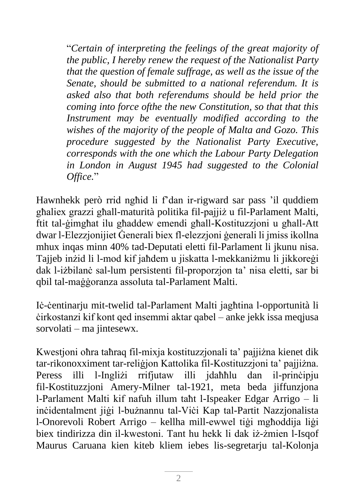"*Certain of interpreting the feelings of the great majority of the public, I hereby renew the request of the Nationalist Party that the question of female suffrage, as well as the issue of the Senate, should be submitted to a national referendum. It is asked also that both referendums should be held prior the coming into force ofthe the new Constitution, so that that this Instrument may be eventually modified according to the wishes of the majority of the people of Malta and Gozo. This procedure suggested by the Nationalist Party Executive, corresponds with the one which the Labour Party Delegation in London in August 1945 had suggested to the Colonial Office.*"

Hawnhekk però rrid ngħid li f'dan ir-rigward sar pass 'il quddiem għaliex grazzi għall-maturità politika fil-pajjiż u fil-Parlament Malti, ftit tal-ġimgħat ilu għaddew emendi għall-Kostituzzjoni u għall-Att dwar l-Elezzjonijiet Ġenerali biex fl-elezzjoni ġenerali li jmiss ikollna mhux inqas minn 40% tad-Deputati eletti fil-Parlament li jkunu nisa. Tajjeb inżid li l-mod kif jaħdem u jiskatta l-mekkaniżmu li jikkoreġi dak l-iżbilanċ sal-lum persistenti fil-proporzjon ta' nisa eletti, sar bi qbil tal-maġġoranza assoluta tal-Parlament Malti.

Iċ-ċentinarju mit-twelid tal-Parlament Malti jagħtina l-opportunità li ċirkostanzi kif kont qed insemmi aktar qabel – anke jekk issa meqjusa sorvolati – ma jintesewx.

Kwestjoni oħra taħraq fil-mixja kostituzzjonali ta' pajjiżna kienet dik tar-rikonoxximent tar-reliġjon Kattolika fil-Kostituzzjoni ta' pajjiżna. Peress illi l-Ingliżi rrifjutaw illi jdaħħlu dan il-prinċipju fil-Kostituzzjoni Amery-Milner tal-1921, meta beda jiffunzjona l-Parlament Malti kif nafuh illum taħt l-Ispeaker Edgar Arrigo – li inċidentalment jiġi l-bużnannu tal-Viċi Kap tal-Partit Nazzjonalista l-Onorevoli Robert Arrigo – kellha mill-ewwel tiġi mgħoddija liġi biex tindirizza din il-kwestoni. Tant hu hekk li dak iż-żmien l-Isqof Maurus Caruana kien kiteb kliem iebes lis-segretarju tal-Kolonja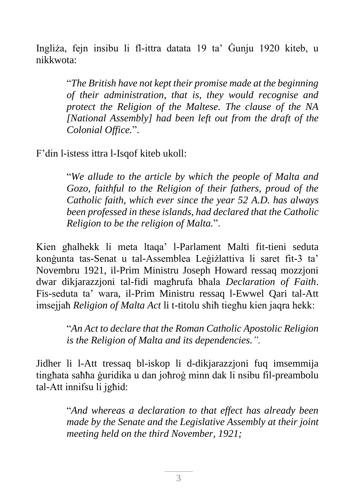Ingliża, fejn insibu li fl-ittra datata 19 ta' Ġunju 1920 kiteb, u nikkwota:

> "*The British have not kept their promise made at the beginning of their administration, that is, they would recognise and protect the Religion of the Maltese. The clause of the NA [National Assembly] had been left out from the draft of the Colonial Office.*".

F'din l-istess ittra l-Isqof kiteb ukoll:

"*We allude to the article by which the people of Malta and Gozo, faithful to the Religion of their fathers, proud of the Catholic faith, which ever since the year 52 A.D. has always been professed in these islands, had declared that the Catholic Religion to be the religion of Malta.*".

Kien għalhekk li meta ltaqa' l-Parlament Malti fit-tieni seduta konġunta tas-Senat u tal-Assemblea Leġiżlattiva li saret fit-3 ta' Novembru 1921, il-Prim Ministru Joseph Howard ressaq mozzjoni dwar dikjarazzjoni tal-fidi magħrufa bħala *Declaration of Faith*. Fis-seduta ta' wara, il-Prim Ministru ressaq l-Ewwel Qari tal-Att imsejjaħ *Religion of Malta Act* li t-titolu sħiħ tiegħu kien jaqra hekk:

> "*An Act to declare that the Roman Catholic Apostolic Religion is the Religion of Malta and its dependencies.".*

Jidher li l-Att tressaq bl-iskop li d-dikjarazzjoni fuq imsemmija tingħata saħħa ġuridika u dan joħroġ minn dak li nsibu fil-preambolu tal-Att innifsu li jgħid:

> "*And whereas a declaration to that effect has already been made by the Senate and the Legislative Assembly at their joint meeting held on the third November, 1921;*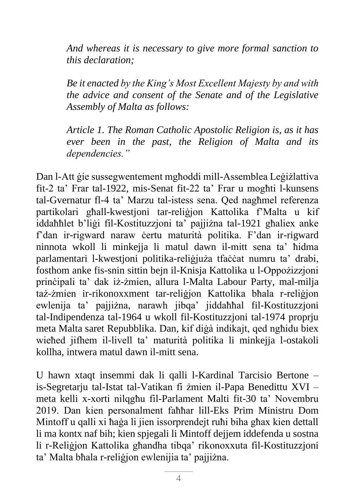*And whereas it is necessary to give more formal sanction to this declaration;*

*Be it enacted by the King's Most Excellent Majesty by and with the advice and consent of the Senate and of the Legislative Assembly of Malta as follows:*

*Article 1. The Roman Catholic Apostolic Religion is, as it has ever been in the past, the Religion of Malta and its dependencies."*

Dan l-Att ġie sussegwentement mgħoddi mill-Assemblea Leġiżlattiva fit-2 ta' Frar tal-1922, mis-Senat fit-22 ta' Frar u mogħti l-kunsens tal-Gvernatur fl-4 ta' Marzu tal-istess sena. Qed nagħmel referenza partikolari għall-kwestjoni tar-reliġjon Kattolika f'Malta u kif iddaħħlet b'liġi fil-Kostituzzjoni ta' pajjiżna tal-1921 għaliex anke f'dan ir-rigward naraw ċertu maturità politika. F'dan ir-rigward ninnota wkoll li minkejja li matul dawn il-mitt sena ta' ħidma parlamentari l-kwestjoni politika-reliġjuża tfaċċat numru ta' drabi, fosthom anke fis-snin sittin bejn il-Knisja Kattolika u l-Oppożizzjoni prinċipali ta' dak iż-żmien, allura l-Malta Labour Party, mal-milja taż-żmien ir-rikonoxxment tar-reliġjon Kattolika bħala r-reliġjon ewlenija ta' pajjiżna, narawh jibqa' jiddaħħal fil-Kostituzzjoni tal-Indipendenza tal-1964 u wkoll fil-Kostituzzjoni tal-1974 proprju meta Malta saret Repubblika. Dan, kif diġà indikajt, qed ngħidu biex wieħed jifhem il-livell ta' maturità politika li minkejja l-ostakoli kollha, intwera matul dawn il-mitt sena.

U hawn xtaqt insemmi dak li qalli l-Kardinal Tarcisio Bertone – is-Segretarju tal-Istat tal-Vatikan fi żmien il-Papa Benedittu XVI – meta kelli x-xorti nilqgħu fil-Parlament Malti fit-30 ta' Novembru 2019. Dan kien personalment faħħar lill-Eks Prim Ministru Dom Mintoff u qalli xi ħaġa li jien issorprendejt ruħi biha għax kien dettall li ma kontx naf bih; kien spjegali li Mintoff dejjem iddefenda u sostna li r-Reliġjon Kattolika għandha tibqa' rikonoxxuta fil-Kostituzzjoni ta' Malta bħala r-reliġjon ewlenijia ta' pajjiżna.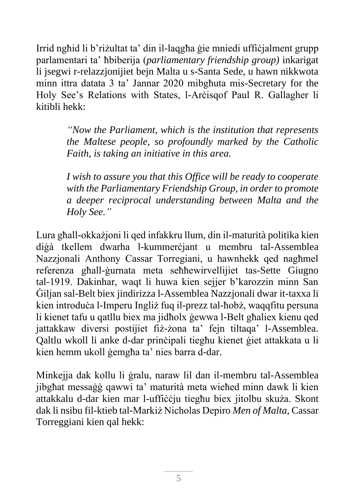Irrid ngħid li b'riżultat ta' din il-laqgħa ġie mniedi uffiċjalment grupp parlamentari ta' ħbiberija (*parliamentary friendship group)* inkarigat li jsegwi r-relazzjonijiet bejn Malta u s-Santa Sede, u hawn nikkwota minn ittra datata 3 ta' Jannar 2020 mibgħuta mis-Secretary for the Holy See's Relations with States, l-Arċisqof Paul R. Gallagher li kitibli hekk:

> *"Now the Parliament, which is the institution that represents the Maltese people, so profoundly marked by the Catholic Faith, is taking an initiative in this area.*

> *I wish to assure you that this Office will be ready to cooperate with the Parliamentary Friendship Group, in order to promote a deeper reciprocal understanding between Malta and the Holy See."*

Lura għall-okkażjoni li qed infakkru llum, din il-maturità politika kien diġà tkellem dwarha l-kummerċjant u membru tal-Assemblea Nazzjonali Anthony Cassar Torregiani, u hawnhekk qed nagħmel referenza għall-ġurnata meta seħħewirvellijiet tas-Sette Giugno tal-1919. Dakinhar, waqt li huwa kien sejjer b'karozzin minn San Ġiljan sal-Belt biex jindirizza l-Assemblea Nazzjonali dwar it-taxxa li kien introduċa l-Imperu Ingliż fuq il-prezz tal-ħobż, waqqfitu persuna li kienet tafu u qatllu biex ma jidħolx ġewwa l-Belt għaliex kienu qed jattakkaw diversi postijiet fiż-żona ta' fejn tiltaqa' l-Assemblea. Qaltlu wkoll li anke d-dar prinċipali tiegħu kienet ġiet attakkata u li kien hemm ukoll ġemgħa ta' nies barra d-dar.

Minkejja dak kollu li ġralu, naraw lil dan il-membru tal-Assemblea jibgħat messaġġ qawwi ta' maturità meta wieħed minn dawk li kien attakkalu d-dar kien mar l-uffiċċju tiegħu biex jitolbu skuża. Skont dak li nsibu fil-ktieb tal-Markiż Nicholas Depiro *Men of Malta*, Cassar Torreggiani kien qal hekk: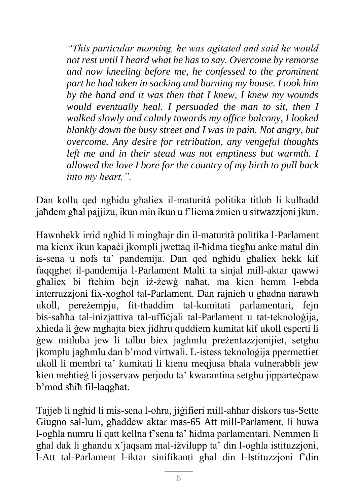*"This particular morning, he was agitated and said he would not rest until I heard what he has to say. Overcome by remorse and now kneeling before me, he confessed to the prominent part he had taken in sacking and burning my house. I took him by the hand and it was then that I knew, I knew my wounds would eventually heal. I persuaded the man to sit, then I walked slowly and calmly towards my office balcony, I looked blankly down the busy street and I was in pain. Not angry, but overcome. Any desire for retribution, any vengeful thoughts left me and in their stead was not emptiness but warmth. I allowed the love I bore for the country of my birth to pull back into my heart.".*

Dan kollu qed ngħidu għaliex il-maturità politika titlob li kulħadd jaħdem għal pajjiżu, ikun min ikun u f'liema żmien u sitwazzjoni jkun.

Hawnhekk irrid ngħid li mingħajr din il-maturità politika l-Parlament ma kienx ikun kapaċi jkompli jwettaq il-ħidma tiegħu anke matul din is-sena u nofs ta' pandemija. Dan qed ngħidu għaliex hekk kif faqqgħet il-pandemija l-Parlament Malti ta sinjal mill-aktar qawwi għaliex bi ftehim bejn iż-żewġ naħat, ma kien hemm l-ebda interruzzjoni fix-xogħol tal-Parlament. Dan rajnieh u għadna narawh ukoll, pereżempju, fit-tħaddim tal-kumitati parlamentari, fejn bis-saħħa tal-inizjattiva tal-uffiċjali tal-Parlament u tat-teknoloġija, xhieda li ġew mgħajta biex jidhru quddiem kumitat kif ukoll esperti li ġew mitluba jew li talbu biex jagħmlu preżentazzjonijiet, setgħu jkomplu jagħmlu dan b'mod virtwali. L-istess teknoloġija ppermettiet ukoll li membri ta' kumitati li kienu meqjusa bħala vulnerabbli jew kien meħtieġ li josservaw perjodu ta' kwarantina setgħu jipparteċpaw b'mod sħiħ fil-laqgħat.

Tajjeb li ngħid li mis-sena l-oħra, jiġifieri mill-aħħar diskors tas-Sette Giugno sal-lum, għaddew aktar mas-65 Att mill-Parlament, li huwa l-ogħla numru li qatt kellna f'sena ta' ħidma parlamentari. Nemmen li għal dak li għandu x'jaqsam mal-iżvilupp ta' din l-ogħla istituzzjoni, l-Att tal-Parlament l-iktar sinifikanti għal din l-Istituzzjoni f'din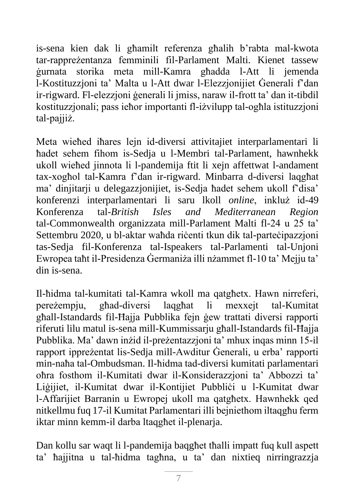is-sena kien dak li għamilt referenza għalih b'rabta mal-kwota tar-rappreżentanza femminili fil-Parlament Malti. Kienet tassew ġurnata storika meta mill-Kamra għadda l-Att li jemenda l-Kostituzzjoni ta' Malta u l-Att dwar l-Elezzjonijiet Ġenerali f'dan ir-rigward. Fl-elezzjoni ġenerali li jmiss, naraw il-frott ta' dan it-tibdil kostituzzjonali; pass ieħor importanti fl-iżvilupp tal-ogħla istituzzjoni tal-pajjiż.

Meta wieħed iħares lejn id-diversi attivitajiet interparlamentari li ħadet sehem fihom is-Sedja u l-Membri tal-Parlament, hawnhekk ukoll wieħed jinnota li l-pandemija ftit li xejn affettwat l-andament tax-xogħol tal-Kamra f'dan ir-rigward. Minbarra d-diversi laqgħat ma' dinjitarji u delegazzjonijiet, is-Sedja ħadet sehem ukoll f'disa' konferenzi interparlamentari li saru lkoll *online*, inkluż id-49 Konferenza tal-*British Isles and Mediterranean Region*  tal-Commonwealth organizzata mill-Parlament Malti fl-24 u 25 ta' Settembru 2020, u bl-aktar waħda riċenti tkun dik tal-parteċipazzjoni tas-Sedja fil-Konferenza tal-Ispeakers tal-Parlamenti tal-Unjoni Ewropea taħt il-Presidenza Ġermaniża illi nżammet fl-10 ta' Mejju ta' din is-sena.

Il-ħidma tal-kumitati tal-Kamra wkoll ma qatgħetx. Hawn nirreferi, pereżempju, għad-diversi laqgħat li mexxejt tal-Kumitat għall-Istandards fil-Ħajja Pubblika fejn ġew trattati diversi rapporti riferuti lilu matul is-sena mill-Kummissarju għall-Istandards fil-Ħajja Pubblika. Ma' dawn inżid il-preżentazzjoni ta' mhux inqas minn 15-il rapport ippreżentat lis-Sedja mill-Awditur Ġenerali, u erba' rapporti min-naħa tal-Ombudsman. Il-ħidma tad-diversi kumitati parlamentari oħra fosthom il-Kumitati dwar il-Konsiderazzjoni ta' Abbozzi ta' Ligijiet, il-Kumitat dwar il-Kontijiet Pubblici u l-Kumitat dwar l-Affarijiet Barranin u Ewropej ukoll ma qatgħetx. Hawnhekk qed nitkellmu fuq 17-il Kumitat Parlamentari illi bejniethom iltaqgħu ferm iktar minn kemm-il darba ltaqgħet il-plenarja.

Dan kollu sar waqt li l-pandemija baqgħet tħalli impatt fuq kull aspett ta' ħajjitna u tal-ħidma tagħna, u ta' dan nixtieq nirringrazzja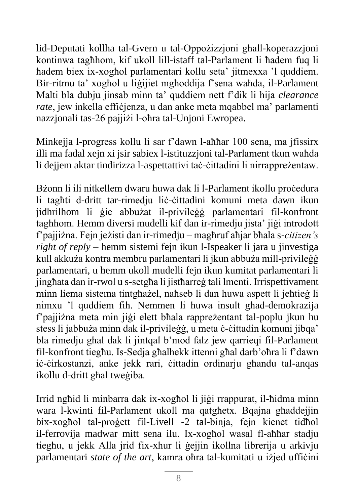lid-Deputati kollha tal-Gvern u tal-Oppożizzjoni għall-koperazzjoni kontinwa tagħhom, kif ukoll lill-istaff tal-Parlament li ħadem fuq li ħadem biex ix-xogħol parlamentari kollu seta' jitmexxa 'l quddiem. Bir-ritmu ta' xogħol u liġijiet mgħoddija f'sena waħda, il-Parlament Malti bla dubju jinsab minn ta' quddiem nett f'dik li hija *clearance rate*, jew inkella efficjenza, u dan anke meta mqabbel ma' parlamenti nazzjonali tas-26 pajjiżi l-oħra tal-Unjoni Ewropea.

Minkejja l-progress kollu li sar f'dawn l-aħħar 100 sena, ma jfissirx illi ma fadal xejn xi jsir sabiex l-istituzzjoni tal-Parlament tkun waħda li dejjem aktar tindirizza l-aspettattivi taċ-ċittadini li nirrappreżentaw.

Bżonn li ili nitkellem dwaru huwa dak li l-Parlament ikollu proċedura li tagħti d-dritt tar-rimedju liċ-ċittadini komuni meta dawn ikun jidhrilhom li ġie abbużat il-privileġġ parlamentari fil-konfront tagħhom. Hemm diversi mudelli kif dan ir-rimedju jista' jiġi introdott f'pajjiżna. Fejn jeżisti dan ir-rimedju – magħruf aħjar bħala s-*citizen's right of reply* – hemm sistemi fejn ikun l-Ispeaker li jara u jinvestiga kull akkuża kontra membru parlamentari li jkun abbuża mill-privileġġ parlamentari, u hemm ukoll mudelli fejn ikun kumitat parlamentari li jingħata dan ir-rwol u s-setgħa li jistħarreġ tali lmenti. Irrispettivament minn liema sistema tintgħażel, naħseb li dan huwa aspett li jeħtieġ li nimxu 'l quddiem fih. Nemmen li huwa insult għad-demokrazija f'pajjiżna meta min jiġi elett bħala rappreżentant tal-poplu jkun hu stess li jabbuża minn dak il-privileģģ, u meta ċ-ċittadin komuni jibqa' bla rimedju għal dak li jintqal b'mod falz jew qarrieqi fil-Parlament fil-konfront tiegħu. Is-Sedja għalhekk ittenni għal darb'oħra li f'dawn iċ-ċirkostanzi, anke jekk rari, ċittadin ordinarju għandu tal-anqas ikollu d-dritt għal tweġiba.

Irrid ngħid li minbarra dak ix-xogħol li jiġi rrappurat, il-ħidma minn wara l-kwinti fil-Parlament ukoll ma qatgħetx. Bqajna għaddejjin bix-xogħol tal-proġett fil-Livell -2 tal-binja, fejn kienet tidħol il-ferrovija madwar mitt sena ilu. Ix-xogħol wasal fl-aħħar stadju tiegħu, u jekk Alla jrid fix-xhur li ġejjin ikollna librerija u arkivju parlamentari *state of the art*, kamra oħra tal-kumitati u iżjed uffićini